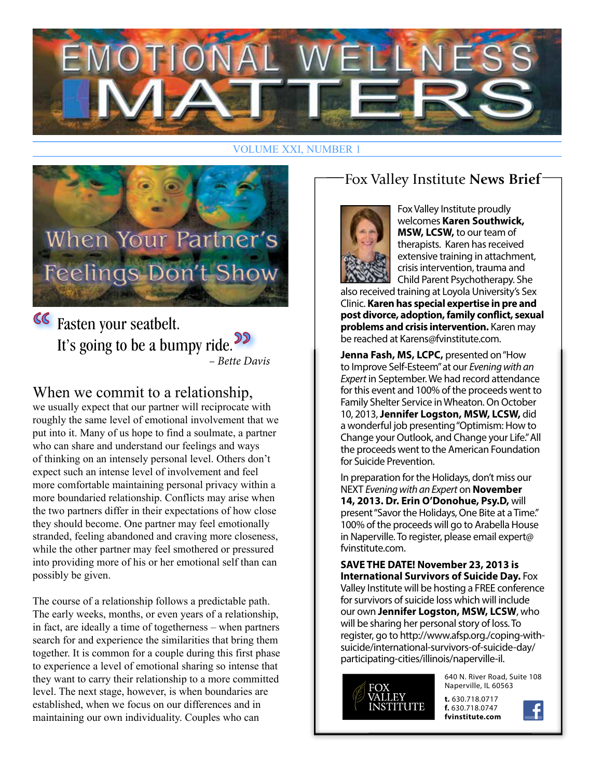

#### VOLUME XXI, NUMBER 1



Fasten your seatbelt. It's going to be a bumpy ride.<sup>99</sup> – Bette Davis

#### When we commit to a relationship,

we usually expect that our partner will reciprocate with roughly the same level of emotional involvement that we put into it. Many of us hope to find a soulmate, a partner who can share and understand our feelings and ways of thinking on an intensely personal level. Others don't expect such an intense level of involvement and feel more comfortable maintaining personal privacy within a more boundaried relationship. Conflicts may arise when the two partners differ in their expectations of how close they should become. One partner may feel emotionally stranded, feeling abandoned and craving more closeness, while the other partner may feel smothered or pressured into providing more of his or her emotional self than can possibly be given.

The course of a relationship follows a predictable path. The early weeks, months, or even years of a relationship, in fact, are ideally a time of togetherness – when partners search for and experience the similarities that bring them together. It is common for a couple during this first phase to experience a level of emotional sharing so intense that they want to carry their relationship to a more committed level. The next stage, however, is when boundaries are established, when we focus on our differences and in maintaining our own individuality. Couples who can

### Fox Valley Institute **News Brief**



Fox Valley Institute proudly welcomes **Karen Southwick, MSW, LCSW,** to our team of therapists. Karen has received extensive training in attachment, crisis intervention, trauma and Child Parent Psychotherapy. She

also received training at Loyola University's Sex Clinic. **Karen has special expertise in pre and post divorce, adoption, family con!ict, sexual problems and crisis intervention.** Karen may be reached at Karens@fvinstitute.com.

**Jenna Fash, MS, LCPC,** presented on "How to Improve Self-Esteem" at our Evening with an Expert in September. We had record attendance for this event and 100% of the proceeds went to Family Shelter Service in Wheaton. On October 10, 2013, **Jennifer Logston, MSW, LCSW,** did a wonderful job presenting "Optimism: How to Change your Outlook, and Change your Life." All the proceeds went to the American Foundation for Suicide Prevention.

In preparation for the Holidays, don't miss our NEXT Evening with an Expert on **November 14, 2013. Dr. Erin O'Donohue, Psy.D,** will present "Savor the Holidays, One Bite at a Time." 100% of the proceeds will go to Arabella House in Naperville. To register, please email expert@ fvinstitute.com.

**SAVE THE DATE! November 23, 2013 is International Survivors of Suicide Day.** Fox Valley Institute will be hosting a FREE conference for survivors of suicide loss which will include our own **Jennifer Logston, MSW, LCSW**, who will be sharing her personal story of loss. To register, go to http://www.afsp.org./coping-withsuicide/international-survivors-of-suicide-day/ participating-cities/illinois/naperville-il.



640 N. River Road, Suite 108 Naperville, IL 60563

**t.** 630.718.0717 **f.** 630.718.0747 **fvinstitute.com**

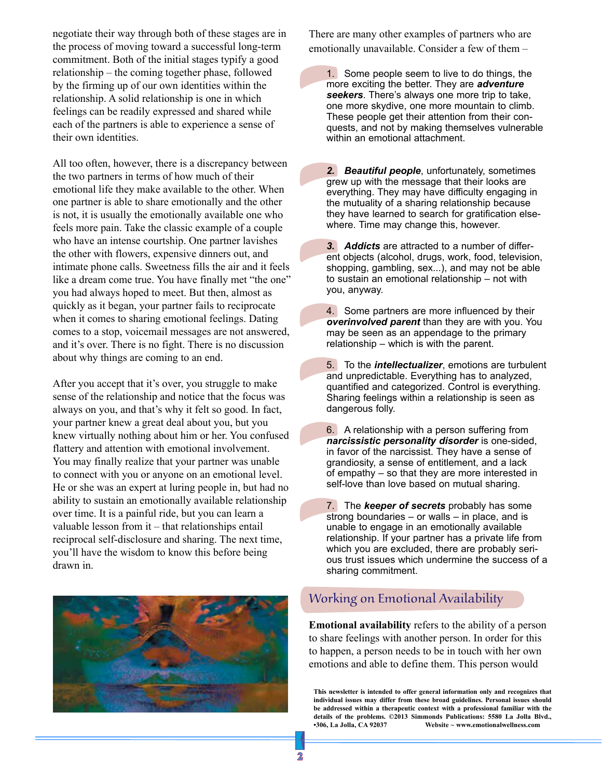negotiate their way through both of these stages are in the process of moving toward a successful long-term commitment. Both of the initial stages typify a good relationship – the coming together phase, followed by the firming up of our own identities within the relationship. A solid relationship is one in which feelings can be readily expressed and shared while each of the partners is able to experience a sense of their own identities.

All too often, however, there is a discrepancy between the two partners in terms of how much of their emotional life they make available to the other. When one partner is able to share emotionally and the other is not, it is usually the emotionally available one who feels more pain. Take the classic example of a couple who have an intense courtship. One partner lavishes the other with flowers, expensive dinners out, and intimate phone calls. Sweetness fills the air and it feels like a dream come true. You have finally met "the one" you had always hoped to meet. But then, almost as quickly as it began, your partner fails to reciprocate when it comes to sharing emotional feelings. Dating comes to a stop, voicemail messages are not answered, and it's over. There is no fight. There is no discussion about why things are coming to an end.

After you accept that it's over, you struggle to make sense of the relationship and notice that the focus was always on you, and that's why it felt so good. In fact, your partner knew a great deal about you, but you knew virtually nothing about him or her. You confused flattery and attention with emotional involvement. You may finally realize that your partner was unable to connect with you or anyone on an emotional level. He or she was an expert at luring people in, but had no ability to sustain an emotionally available relationship over time. It is a painful ride, but you can learn a valuable lesson from it – that relationships entail reciprocal self-disclosure and sharing. The next time, you'll have the wisdom to know this before being drawn in.



There are many other examples of partners who are emotionally unavailable. Consider a few of them –

1. Some people seem to live to do things, the more exciting the better. They are *adventure seekers*. There's always one more trip to take, one more skydive, one more mountain to climb. These people get their attention from their conquests, and not by making themselves vulnerable within an emotional attachment.

*2. Beautiful people*, unfortunately, sometimes grew up with the message that their looks are everything. They may have difficulty engaging in the mutuality of a sharing relationship because they have learned to search for gratification elsewhere. Time may change this, however.

*3. Addicts* are attracted to a number of different objects (alcohol, drugs, work, food, television, shopping, gambling, sex...), and may not be able to sustain an emotional relationship – not with you, anyway.

4. Some partners are more influenced by their *overinvolved parent* than they are with you. You may be seen as an appendage to the primary relationship – which is with the parent.

5. To the *intellectualizer*, emotions are turbulent and unpredictable. Everything has to analyzed, quantified and categorized. Control is everything. Sharing feelings within a relationship is seen as dangerous folly.

6. A relationship with a person suffering from *narcissistic personality disorder* is one-sided, in favor of the narcissist. They have a sense of grandiosity, a sense of entitlement, and a lack of empathy – so that they are more interested in self-love than love based on mutual sharing.

7. The *keeper of secrets* probably has some strong boundaries – or walls – in place, and is unable to engage in an emotionally available relationship. If your partner has a private life from which you are excluded, there are probably serious trust issues which undermine the success of a sharing commitment.

#### Working on Emotional Availability

**Emotional availability** refers to the ability of a person to share feelings with another person. In order for this to happen, a person needs to be in touch with her own emotions and able to define them. This person would

**This newsletter is intended to offer general information only and recognizes that individual issues may differ from these broad guidelines. Personal issues should be addressed within a therapeutic context with a professional familiar with the details of the problems. ©2013 Simmonds Publications: 5580 La Jolla Blvd., •306, La Jolla, CA 92037 Website ~ www.emotionalwellness.com**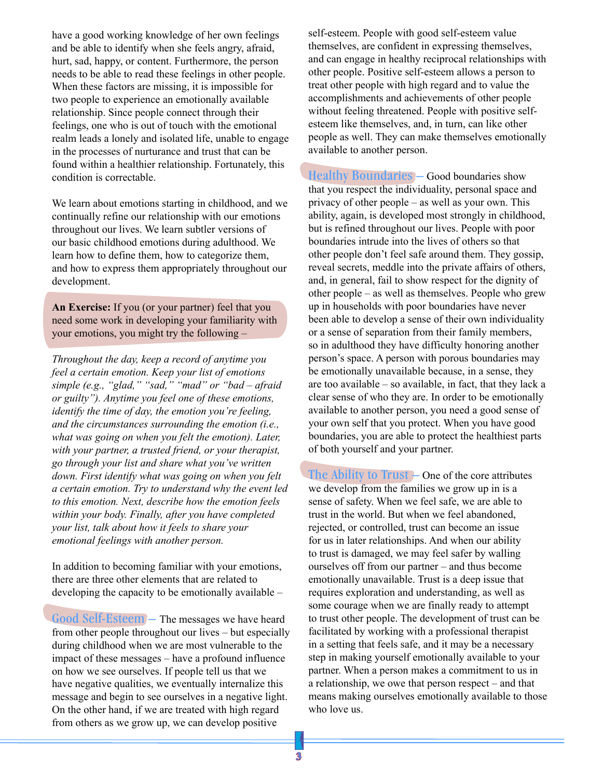have a good working knowledge of her own feelings and be able to identify when she feels angry, afraid, hurt, sad, happy, or content. Furthermore, the person needs to be able to read these feelings in other people. When these factors are missing, it is impossible for two people to experience an emotionally available relationship. Since people connect through their feelings, one who is out of touch with the emotional realm leads a lonely and isolated life, unable to engage in the processes of nurturance and trust that can be found within a healthier relationship. Fortunately, this condition is correctable.

We learn about emotions starting in childhood, and we continually refine our relationship with our emotions throughout our lives. We learn subtler versions of our basic childhood emotions during adulthood. We learn how to define them, how to categorize them, and how to express them appropriately throughout our development.

**An Exercise:** If you (or your partner) feel that you need some work in developing your familiarity with your emotions, you might try the following –

*Throughout the day, keep a record of anytime you feel a certain emotion. Keep your list of emotions simple (e.g., "glad," "sad," "mad" or "bad – afraid or guilty"). Anytime you feel one of these emotions, identify the time of day, the emotion you're feeling, and the circumstances surrounding the emotion (i.e.,*  what was going on when you felt the emotion). Later, *with your partner, a trusted friend, or your therapist, go through your list and share what you've written down. First identify what was going on when you felt a certain emotion. Try to understand why the event led to this emotion. Next, describe how the emotion feels within your body. Finally, after you have completed your list, talk about how it feels to share your emotional feelings with another person.* 

In addition to becoming familiar with your emotions, there are three other elements that are related to developing the capacity to be emotionally available –

Good Self-Esteem - The messages we have heard from other people throughout our lives – but especially during childhood when we are most vulnerable to the impact of these messages – have a profound influence on how we see ourselves. If people tell us that we have negative qualities, we eventually internalize this message and begin to see ourselves in a negative light. On the other hand, if we are treated with high regard from others as we grow up, we can develop positive

self-esteem. People with good self-esteem value themselves, are confident in expressing themselves, and can engage in healthy reciprocal relationships with other people. Positive self-esteem allows a person to treat other people with high regard and to value the accomplishments and achievements of other people without feeling threatened. People with positive selfesteem like themselves, and, in turn, can like other people as well. They can make themselves emotionally available to another person.

Healthy Boundaries – Good boundaries show that you respect the individuality, personal space and privacy of other people – as well as your own. This ability, again, is developed most strongly in childhood, but is refined throughout our lives. People with poor boundaries intrude into the lives of others so that other people don't feel safe around them. They gossip, reveal secrets, meddle into the private affairs of others, and, in general, fail to show respect for the dignity of other people – as well as themselves. People who grew up in households with poor boundaries have never been able to develop a sense of their own individuality or a sense of separation from their family members, so in adulthood they have difficulty honoring another person's space. A person with porous boundaries may be emotionally unavailable because, in a sense, they are too available – so available, in fact, that they lack a clear sense of who they are. In order to be emotionally available to another person, you need a good sense of your own self that you protect. When you have good boundaries, you are able to protect the healthiest parts of both yourself and your partner.

The Ability to Trust  $-$  One of the core attributes we develop from the families we grow up in is a sense of safety. When we feel safe, we are able to trust in the world. But when we feel abandoned, rejected, or controlled, trust can become an issue for us in later relationships. And when our ability to trust is damaged, we may feel safer by walling ourselves off from our partner – and thus become emotionally unavailable. Trust is a deep issue that requires exploration and understanding, as well as some courage when we are finally ready to attempt to trust other people. The development of trust can be facilitated by working with a professional therapist in a setting that feels safe, and it may be a necessary step in making yourself emotionally available to your partner. When a person makes a commitment to us in a relationship, we owe that person respect – and that means making ourselves emotionally available to those who love us.